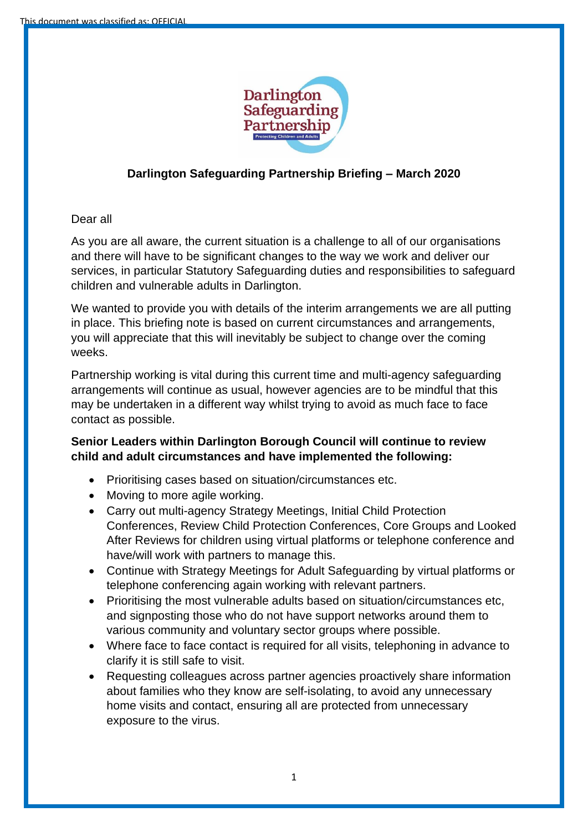

# **Darlington Safeguarding Partnership Briefing – March 2020**

# Dear all

As you are all aware, the current situation is a challenge to all of our organisations and there will have to be significant changes to the way we work and deliver our services, in particular Statutory Safeguarding duties and responsibilities to safeguard children and vulnerable adults in Darlington.

We wanted to provide you with details of the interim arrangements we are all putting in place. This briefing note is based on current circumstances and arrangements, you will appreciate that this will inevitably be subject to change over the coming weeks.

Partnership working is vital during this current time and multi-agency safeguarding arrangements will continue as usual, however agencies are to be mindful that this may be undertaken in a different way whilst trying to avoid as much face to face contact as possible.

# **Senior Leaders within Darlington Borough Council will continue to review child and adult circumstances and have implemented the following:**

- Prioritising cases based on situation/circumstances etc.
- Moving to more agile working.
- Carry out multi-agency Strategy Meetings, Initial Child Protection Conferences, Review Child Protection Conferences, Core Groups and Looked After Reviews for children using virtual platforms or telephone conference and have/will work with partners to manage this.
- Continue with Strategy Meetings for Adult Safeguarding by virtual platforms or telephone conferencing again working with relevant partners.
- Prioritising the most vulnerable adults based on situation/circumstances etc, and signposting those who do not have support networks around them to various community and voluntary sector groups where possible.
- Where face to face contact is required for all visits, telephoning in advance to clarify it is still safe to visit.
- Requesting colleagues across partner agencies proactively share information about families who they know are self-isolating, to avoid any unnecessary home visits and contact, ensuring all are protected from unnecessary exposure to the virus.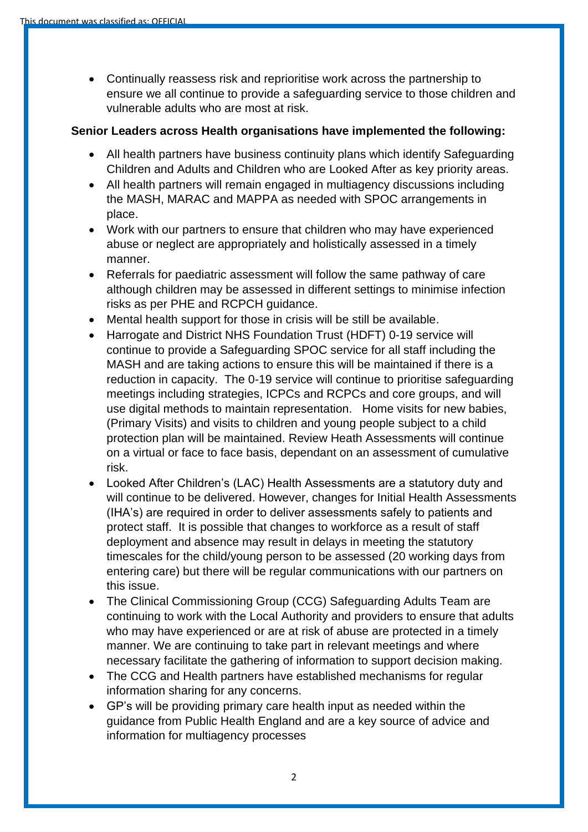• Continually reassess risk and reprioritise work across the partnership to ensure we all continue to provide a safeguarding service to those children and vulnerable adults who are most at risk.

#### **Senior Leaders across Health organisations have implemented the following:**

- All health partners have business continuity plans which identify Safeguarding Children and Adults and Children who are Looked After as key priority areas.
- All health partners will remain engaged in multiagency discussions including the MASH, MARAC and MAPPA as needed with SPOC arrangements in place.
- Work with our partners to ensure that children who may have experienced abuse or neglect are appropriately and holistically assessed in a timely manner.
- Referrals for paediatric assessment will follow the same pathway of care although children may be assessed in different settings to minimise infection risks as per PHE and RCPCH guidance.
- Mental health support for those in crisis will be still be available.
- Harrogate and District NHS Foundation Trust (HDFT) 0-19 service will continue to provide a Safeguarding SPOC service for all staff including the MASH and are taking actions to ensure this will be maintained if there is a reduction in capacity. The 0-19 service will continue to prioritise safeguarding meetings including strategies, ICPCs and RCPCs and core groups, and will use digital methods to maintain representation. Home visits for new babies, (Primary Visits) and visits to children and young people subject to a child protection plan will be maintained. Review Heath Assessments will continue on a virtual or face to face basis, dependant on an assessment of cumulative risk.
- Looked After Children's (LAC) Health Assessments are a statutory duty and will continue to be delivered. However, changes for Initial Health Assessments (IHA's) are required in order to deliver assessments safely to patients and protect staff. It is possible that changes to workforce as a result of staff deployment and absence may result in delays in meeting the statutory timescales for the child/young person to be assessed (20 working days from entering care) but there will be regular communications with our partners on this issue.
- The Clinical Commissioning Group (CCG) Safeguarding Adults Team are continuing to work with the Local Authority and providers to ensure that adults who may have experienced or are at risk of abuse are protected in a timely manner. We are continuing to take part in relevant meetings and where necessary facilitate the gathering of information to support decision making.
- The CCG and Health partners have established mechanisms for regular information sharing for any concerns.
- GP's will be providing primary care health input as needed within the guidance from Public Health England and are a key source of advice and information for multiagency processes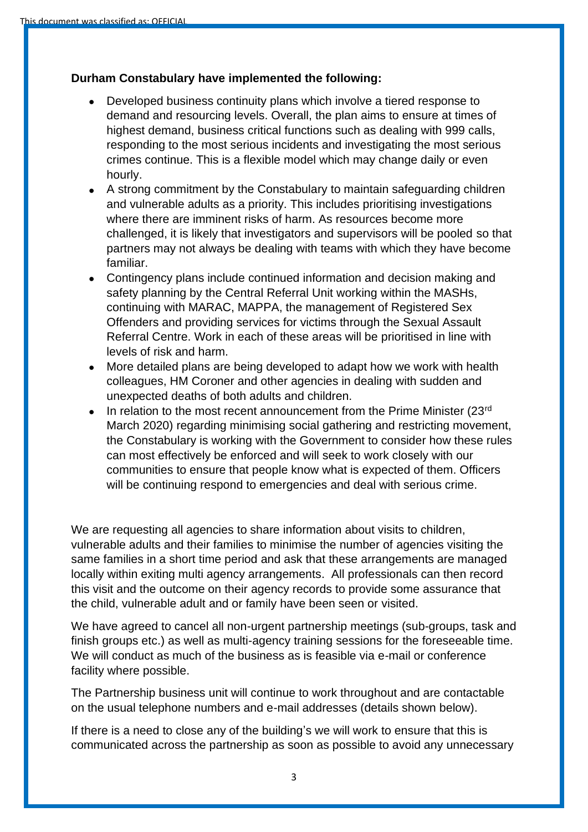### **Durham Constabulary have implemented the following:**

- Developed business continuity plans which involve a tiered response to demand and resourcing levels. Overall, the plan aims to ensure at times of highest demand, business critical functions such as dealing with 999 calls, responding to the most serious incidents and investigating the most serious crimes continue. This is a flexible model which may change daily or even hourly.
- A strong commitment by the Constabulary to maintain safeguarding children and vulnerable adults as a priority. This includes prioritising investigations where there are imminent risks of harm. As resources become more challenged, it is likely that investigators and supervisors will be pooled so that partners may not always be dealing with teams with which they have become familiar.
- Contingency plans include continued information and decision making and safety planning by the Central Referral Unit working within the MASHs, continuing with MARAC, MAPPA, the management of Registered Sex Offenders and providing services for victims through the Sexual Assault Referral Centre. Work in each of these areas will be prioritised in line with levels of risk and harm.
- More detailed plans are being developed to adapt how we work with health colleagues, HM Coroner and other agencies in dealing with sudden and unexpected deaths of both adults and children.
- In relation to the most recent announcement from the Prime Minister  $(23^{rd}$ March 2020) regarding minimising social gathering and restricting movement, the Constabulary is working with the Government to consider how these rules can most effectively be enforced and will seek to work closely with our communities to ensure that people know what is expected of them. Officers will be continuing respond to emergencies and deal with serious crime.

We are requesting all agencies to share information about visits to children, vulnerable adults and their families to minimise the number of agencies visiting the same families in a short time period and ask that these arrangements are managed locally within exiting multi agency arrangements. All professionals can then record this visit and the outcome on their agency records to provide some assurance that the child, vulnerable adult and or family have been seen or visited.

We have agreed to cancel all non-urgent partnership meetings (sub-groups, task and finish groups etc.) as well as multi-agency training sessions for the foreseeable time. We will conduct as much of the business as is feasible via e-mail or conference facility where possible.

The Partnership business unit will continue to work throughout and are contactable on the usual telephone numbers and e-mail addresses (details shown below).

If there is a need to close any of the building's we will work to ensure that this is communicated across the partnership as soon as possible to avoid any unnecessary